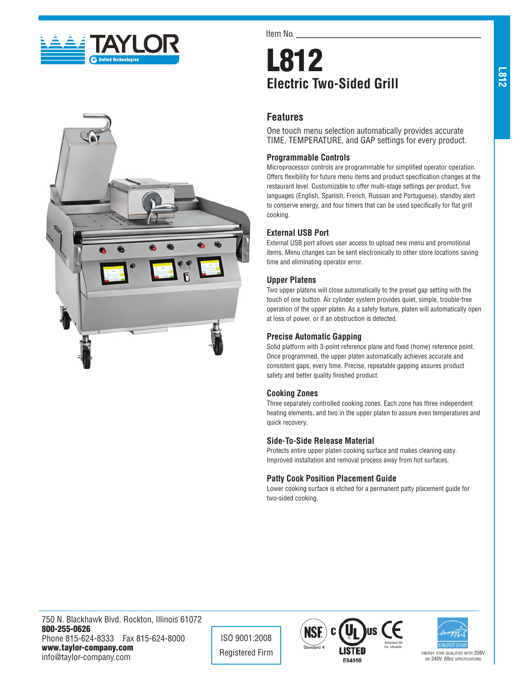



Item No.

# L812 **Electric Two-Sided Grill**

## **Features**

One touch menu selection automatically provides accurate TIME, TEMPERATURE, and GAP settings for every product.

#### **Programmable Controls**

Microprocessor controls are programmable for simplified operator operation. Offers flexibility for future menu items and product specification changes at the restaurant level. Customizable to offer multi-stage settings per product, five languages (English, Spanish, French, Russian and Portuguese), standby alert to conserve energy, and four timers that can be used specifically for flat grill cooking.

## **External USB Port**

External USB port allows user access to upload new menu and promotional items. Menu changes can be sent electronically to other store locations saving time and eliminating operator error.

#### **Upper Platens**

Two upper platens will close automatically to the preset gap setting with the touch of one button. Air cylinder system provides quiet, simple, trouble-free operation of the upper platen. As a safety feature, platen will automatically open at loss of power, or if an obstruction is detected.

### **Precise Automatic Gapping**

Solid platform with 3-point reference plane and fixed (home) reference point. Once programmed, the upper platen automatically achieves accurate and consistent gaps, every time. Precise, repeatable gapping assures product safety and better quality finished product.

#### **Cooking Zones**

Three separately controlled cooking zones. Each zone has three independent heating elements, and two in the upper platen to assure even temperatures and quick recovery.

#### **Side-To-Side Release Material**

Protects entire upper platen cooking surface and makes cleaning easy. Improved installation and removal process away from hot surfaces.

## **Patty Cook Position Placement Guide**

Lower cooking surface is etched for a permanent patty placement guide for two-sided cooking.

750 N. Blackhawk Blvd. Rockton, Illinois 61072 800-255-0626 Phone 815-624-8333 Fax 815-624-8000 www.taylor-company.com info@taylor-company.com

ISO 9001:2008





or 240V, 60hz specifications